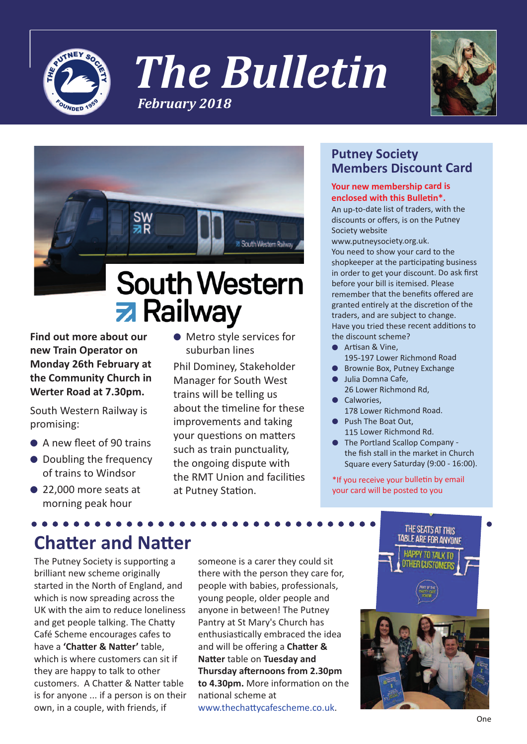

*The Bulletin February 2018*





# **z** Railway

**Find out more about our new Train Operator on Monday 26th February at the Community Church in Werter Road at 7.30pm.**

South Western Railway is promising:

- A new fleet of 90 trains
- Doubling the frequency of trains to Windsor
- 22,000 more seats at morning peak hour

● Metro style services for suburban lines

Phil Dominey, Stakeholder Manager for South West trains will be telling us about the timeline for these improvements and taking your questions on matters such as train punctuality, the ongoing dispute with the RMT Union and facilities at Putney Station.

### **Putney Society Members Discount Card**

#### **Your new membership card is enclosed with this Bulletin\*.**

An up-to-date list of traders, with the discounts or offers, is on the Putney Society website

www.putneysociety.org.uk. You need to show your card to the shopkeeper at the participating business in order to get your discount. Do ask first before your bill is itemised. Please remember that the benefits offered are granted entirely at the discretion of the traders, and are subject to change. Have you tried these recent additions to the discount scheme?

- Artisan & Vine, 195-197 Lower Richmond Road
- Brownie Box, Putney Exchange Julia Domna Cafe,
- 26 Lower Richmond Rd,
- **Calwories** 178 Lower Richmond Road.
- Push The Boat Out. 115 Lower Richmond Rd.
- The Portland Scallop Company the fish stall in the market in Church Square every Saturday (9:00 - 16:00).

\*If you receive your bulletin by email your card will be posted to you

## **Chatter and Natter**

The Putney Society is supporting a brilliant new scheme originally started in the North of England, and which is now spreading across the UK with the aim to reduce loneliness and get people talking. The Chatty Café Scheme encourages cafes to have a **'Chatter & Natter'** table, which is where customers can sit if they are happy to talk to other customers. A Chatter & Natter table is for anyone ... if a person is on their own, in a couple, with friends, if

someone is a carer they could sit there with the person they care for, people with babies, professionals, young people, older people and anyone in between! The Putney Pantry at St Mary's Church has enthusiastically embraced the idea and will be offering a **Chatter & Natter** table on **Tuesday and Thursday afternoons from 2.30pm to 4.30pm.** More information on the national scheme at www.thechattycafescheme.co.uk.

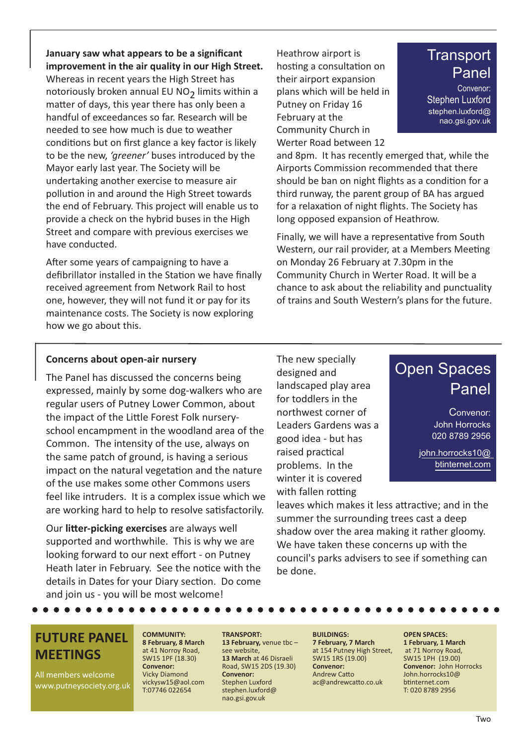**January saw what appears to be a significant improvement in the air quality in our High Street.**

Whereas in recent years the High Street has notoriously broken annual EU NO<sub>2</sub> limits within a matter of days, this year there has only been a handful of exceedances so far. Research will be needed to see how much is due to weather conditions but on first glance a key factor is likely to be the new, *'greener'* buses introduced by the Mayor early last year. The Society will be undertaking another exercise to measure air pollution in and around the High Street towards the end of February. This project will enable us to provide a check on the hybrid buses in the High Street and compare with previous exercises we have conducted.

After some years of campaigning to have a defibrillator installed in the Station we have finally received agreement from Network Rail to host one, however, they will not fund it or pay for its maintenance costs. The Society is now exploring how we go about this.

Heathrow airport is hosting a consultation on their airport expansion plans which will be held in Putney on Friday 16 February at the Community Church in Werter Road between 12

## **Transport** Panel

Convenor: Stephen Luxford stephen.luxford@ nao.gsi.gov.uk

and 8pm. It has recently emerged that, while the Airports Commission recommended that there should be ban on night flights as a condition for a third runway, the parent group of BA has argued for a relaxation of night flights. The Society has long opposed expansion of Heathrow.

Finally, we will have a representative from South Western, our rail provider, at a Members Meeting on Monday 26 February at 7.30pm in the Community Church in Werter Road. It will be a chance to ask about the reliability and punctuality of trains and South Western's plans for the future.

#### **Concerns about open-air nursery**

The Panel has discussed the concerns being expressed, mainly by some dog-walkers who are regular users of Putney Lower Common, about the impact of the Little Forest Folk nurseryschool encampment in the woodland area of the Common. The intensity of the use, always on the same patch of ground, is having a serious impact on the natural vegetation and the nature of the use makes some other Commons users feel like intruders. It is a complex issue which we are working hard to help to resolve satisfactorily.

Our **litter-picking exercises** are always well supported and worthwhile. This is why we are looking forward to our next effort - on Putney Heath later in February. See the notice with the details in Dates for your Diary section. Do come and join us - you will be most welcome!

The new specially designed and landscaped play area for toddlers in the northwest corner of Leaders Gardens was a good idea - but has raised practical problems. In the winter it is covered with fallen rotting



Convenor: John Horrocks 020 8789 2956

john.horrocks10@ btinternet.com

leaves which makes it less attractive; and in the summer the surrounding trees cast a deep shadow over the area making it rather gloomy. We have taken these concerns up with the council's parks advisers to see if something can be done.

## **FUTURE PANEL MEETINGS**

All members welcome www.putneysociety.org.uk

#### **COMMUNITY: 8 February, 8 March** at 41 Norroy Road, SW15 1PF (18.30) **Convenor:**

Vicky Diamond vickysw15@aol.com T:07746 022654

**TRANSPORT: 13 February,** venue tbc – see website, **13 March** at 46 Disraeli Road, SW15 2DS (19.30) **Convenor:** Stephen Luxford stephen.luxford@ nao.gsi.gov.uk

#### **BUILDINGS: 7 February, 7 March** at 154 Putney High Street, SW15 1RS (19.00) **Convenor:** Andrew Catto

ac@andrewcatto.co.uk

**OPEN SPACES: 1 February, 1 March** at 71 Norroy Road, SW15 1PH (19.00) **Convenor:** John Horrocks John.horrocks10@ btinternet.com T: 020 8789 2956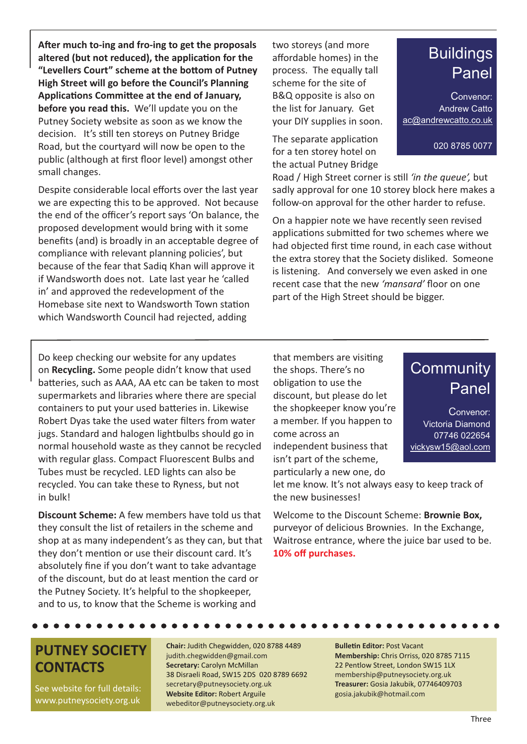**After much to-ing and fro-ing to get the proposals altered (but not reduced), the application for the "Levellers Court" scheme at the bottom of Putney High Street will go before the Council's Planning Applications Committee at the end of January, before you read this.** We'll update you on the Putney Society website as soon as we know the decision. It's still ten storeys on Putney Bridge Road, but the courtyard will now be open to the public (although at first floor level) amongst other small changes.

Despite considerable local efforts over the last year we are expecting this to be approved. Not because the end of the officer's report says 'On balance, the proposed development would bring with it some benefits (and) is broadly in an acceptable degree of compliance with relevant planning policies', but because of the fear that Sadiq Khan will approve it if Wandsworth does not. Late last year he 'called in' and approved the redevelopment of the Homebase site next to Wandsworth Town station which Wandsworth Council had rejected, adding

two storeys (and more affordable homes) in the process. The equally tall scheme for the site of B&Q opposite is also on the list for January. Get your DIY supplies in soon.

The separate application for a ten storey hotel on the actual Putney Bridge

Road / High Street corner is still *'in the queue',* but sadly approval for one 10 storey block here makes a follow-on approval for the other harder to refuse.

On a happier note we have recently seen revised applications submitted for two schemes where we had objected first time round, in each case without the extra storey that the Society disliked. Someone is listening. And conversely we even asked in one recent case that the new *'mansard'* floor on one part of the High Street should be bigger.

Do keep checking our website for any updates on **Recycling.** Some people didn't know that used batteries, such as AAA, AA etc can be taken to most supermarkets and libraries where there are special containers to put your used batteries in. Likewise Robert Dyas take the used water filters from water jugs. Standard and halogen lightbulbs should go in normal household waste as they cannot be recycled with regular glass. Compact Fluorescent Bulbs and Tubes must be recycled. LED lights can also be recycled. You can take these to Ryness, but not in bulk!

**Discount Scheme:** A few members have told us that they consult the list of retailers in the scheme and shop at as many independent's as they can, but that they don't mention or use their discount card. It's absolutely fine if you don't want to take advantage of the discount, but do at least mention the card or the Putney Society. It's helpful to the shopkeeper, and to us, to know that the Scheme is working and

that members are visiting the shops. There's no obligation to use the discount, but please do let the shopkeeper know you're a member. If you happen to come across an independent business that isn't part of the scheme, particularly a new one, do

## **Community** Panel

Convenor: Victoria Diamond 07746 022654 vickysw15@aol.com

let me know. It's not always easy to keep track of the new businesses!

Welcome to the Discount Scheme: **Brownie Box,** purveyor of delicious Brownies. In the Exchange, Waitrose entrance, where the juice bar used to be. **10% off purchases.**

**PUTNEY SOCIETY CONTACTS**

See website for full details: www.putneysociety.org.uk

#### **Chair:** Judith Chegwidden, 020 8788 4489 judith.chegwidden@gmail.com **Secretary:** Carolyn McMillan 38 Disraeli Road, SW15 2DS 020 8789 6692 secretary@putneysociety.org.uk **Website Editor:** Robert Arguile webeditor@putneysociety.org.uk

#### **Bulletin Editor:** Post Vacant **Membership:** Chris Orriss, 020 8785 7115 22 Pentlow Street, London SW15 1LX membership@putneysociety.org.uk **Treasurer:** Gosia Jakubik, 07746409703 gosia.jakubik@hotmail.com

#### Three

## **Buildings** Panel

020 8785 0077

Convenor: Andrew Catto ac@andrewcatto.co.uk